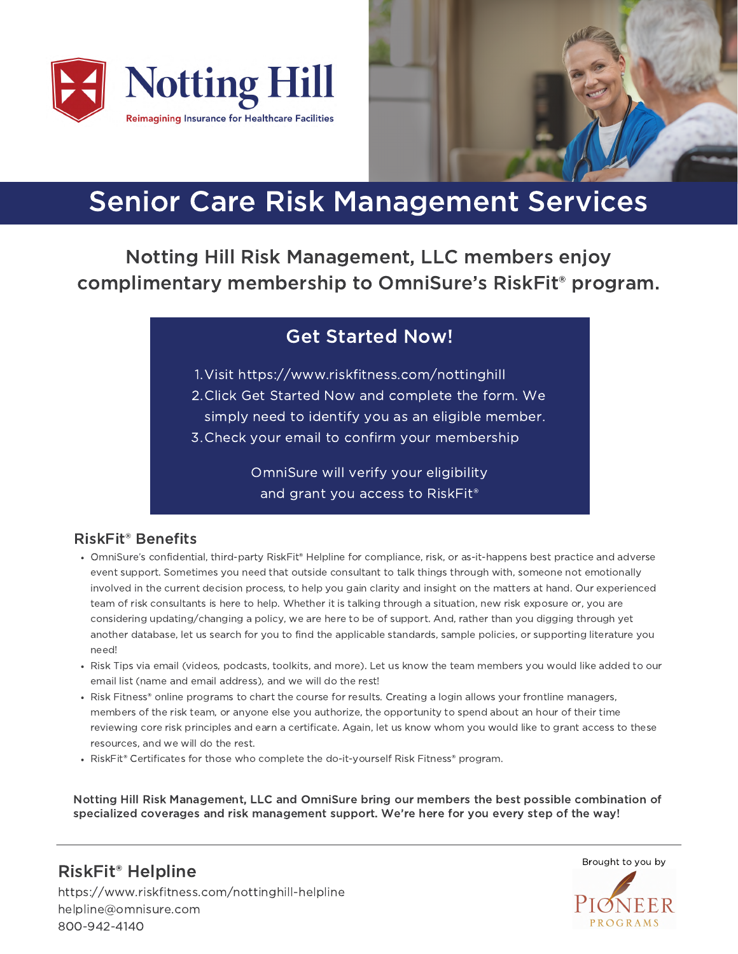



# Senior Care Risk Management Services

Notting Hill Risk Management, LLC members enjoy complimentary membership to OmniSure's RiskFit® program.

## Get Started Now!

Visit https://www.riskfitness.com/nottinghill 1.

2. Click Get Started Now and complete the form. We

- simply need to identify you as an eligible member.
- Check your email to confirm your membership 3.

OmniSure will verify your eligibility and grant you access to RiskFit<sup>®</sup>

### RiskFit® Benefits

- OmniSure's confidential, third-party RiskFit® Helpline for compliance, risk, or as-it-happens best practice and adverse event support. Sometimes you need that outside consultant to talk things through with, someone not emotionally involved in the current decision process, to help you gain clarity and insight on the matters at hand. Our experienced team of risk consultants is here to help. Whether it is talking through a situation, new risk exposure or, you are considering updating/changing a policy, we are here to be of support. And, rather than you digging through yet another database, let us search for you to find the applicable standards, sample policies, or supporting literature you need!
- Risk Tips via email (videos, podcasts, toolkits, and more). Let us know the team members you would like added to our email list (name and email address), and we will do the rest!
- Risk Fitness® online programs to chart the course for results. Creating a login allows your frontline managers, members of the risk team, or anyone else you authorize, the opportunity to spend about an hour of their time reviewing core risk principles and earn a certificate. Again, let us know whom you would like to grant access to these resources, and we will do the rest.
- RiskFit® Certificates for those who complete the do-it-yourself Risk Fitness® program.

Notting Hill Risk Management, LLC and OmniSure bring our members the best possible combination of specialized coverages and risk management support. We're here for you every step of the way!

## RiskFit® Helpline

https://www.riskfitness.com/nottinghill-helpline helpline@omnisure.com 800-942-4140

Brought to you byPROGRAMS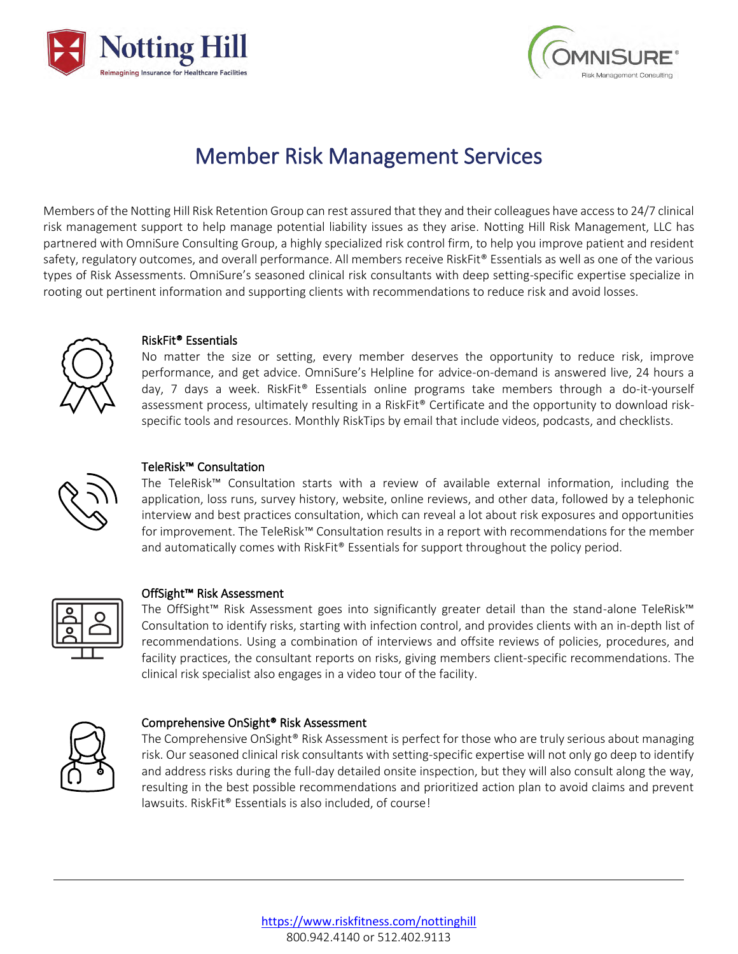



## Member Risk Management Services

Members of the Notting Hill Risk Retention Group can rest assured that they and their colleagues have accessto 24/7 clinical risk management support to help manage potential liability issues as they arise. Notting Hill Risk Management, LLC has partnered with OmniSure Consulting Group, a highly specialized risk control firm, to help you improve patient and resident safety, regulatory outcomes, and overall performance. All members receive RiskFit® Essentials as well as one of the various types of Risk Assessments. OmniSure's seasoned clinical risk consultants with deep setting-specific expertise specialize in rooting out pertinent information and supporting clients with recommendations to reduce risk and avoid losses.



### RiskFit® Essentials

No matter the size or setting, every member deserves the opportunity to reduce risk, improve performance, and get advice. OmniSure's Helpline for advice-on-demand is answered live, 24 hours a day, 7 days a week. RiskFit® Essentials online programs take members through a do-it-yourself assessment process, ultimately resulting in a RiskFit® Certificate and the opportunity to download riskspecific tools and resources. Monthly RiskTips by email that include videos, podcasts, and checklists.



### TeleRisk™ Consultation

The TeleRisk™ Consultation starts with a review of available external information, including the application, loss runs, survey history, website, online reviews, and other data, followed by a telephonic interview and best practices consultation, which can reveal a lot about risk exposures and opportunities for improvement. The TeleRisk™ Consultation results in a report with recommendations for the member and automatically comes with RiskFit® Essentials for support throughout the policy period.



### OffSight™ Risk Assessment

The OffSight™ Risk Assessment goes into significantly greater detail than the stand-alone TeleRisk™ Consultation to identify risks, starting with infection control, and provides clients with an in-depth list of recommendations. Using a combination of interviews and offsite reviews of policies, procedures, and facility practices, the consultant reports on risks, giving members client-specific recommendations. The clinical risk specialist also engages in a video tour of the facility.



### Comprehensive OnSight® Risk Assessment

The Comprehensive OnSight® Risk Assessment is perfect for those who are truly serious about managing risk. Our seasoned clinical risk consultants with setting-specific expertise will not only go deep to identify and address risks during the full-day detailed onsite inspection, but they will also consult along the way, resulting in the best possible recommendations and prioritized action plan to avoid claims and prevent lawsuits. RiskFit® Essentials is also included, of course!